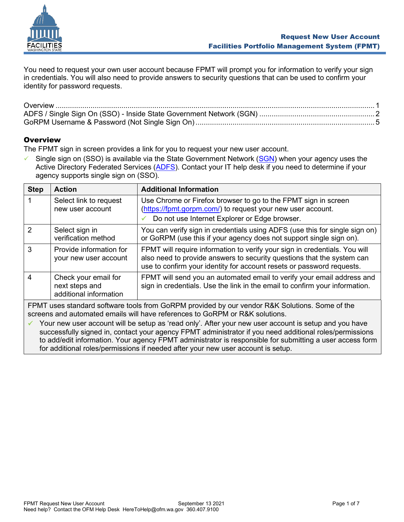

You need to request your own user account because FPMT will prompt you for information to verify your sign in credentials. You will also need to provide answers to security questions that can be used to confirm your identity for password requests.

# <span id="page-0-0"></span>**Overview**

The FPMT sign in screen provides a link for you to request your new user account.

 $\checkmark$  Single sign on (SSO) is available via the State Government Network [\(SGN\)](https://watech.wa.gov/glossary) when your agency uses the Active Directory Federated Services [\(ADFS\)](https://watech.wa.gov/services/Active-Directory-Federation-Services-ADFS). Contact your IT help desk if you need to determine if your agency supports single sign on (SSO).

| <b>Step</b>    | <b>Action</b>                                                    | <b>Additional Information</b>                                                                                                                                                                                                 |  |  |
|----------------|------------------------------------------------------------------|-------------------------------------------------------------------------------------------------------------------------------------------------------------------------------------------------------------------------------|--|--|
|                | Select link to request<br>new user account                       | Use Chrome or Firefox browser to go to the FPMT sign in screen<br>(https://fpmt.gorpm.com/) to request your new user account.<br>Do not use Internet Explorer or Edge browser.                                                |  |  |
| 2              | Select sign in<br>verification method                            | You can verify sign in credentials using ADFS (use this for single sign on)<br>or GoRPM (use this if your agency does not support single sign on).                                                                            |  |  |
| 3              | Provide information for<br>your new user account                 | FPMT will require information to verify your sign in credentials. You will<br>also need to provide answers to security questions that the system can<br>use to confirm your identity for account resets or password requests. |  |  |
| $\overline{4}$ | Check your email for<br>next steps and<br>additional information | FPMT will send you an automated email to verify your email address and<br>sign in credentials. Use the link in the email to confirm your information.                                                                         |  |  |
|                | $\Box$                                                           |                                                                                                                                                                                                                               |  |  |

FPMT uses standard software tools from GoRPM provided by our vendor R&K Solutions. Some of the screens and automated emails will have references to GoRPM or R&K solutions.

 $\checkmark$  Your new user account will be setup as 'read only'. After your new user account is setup and you have successfully signed in, contact your agency FPMT administrator if you need additional roles/permissions to add/edit information. Your agency FPMT administrator is responsible for submitting a user access form for additional roles/permissions if needed after your new user account is setup.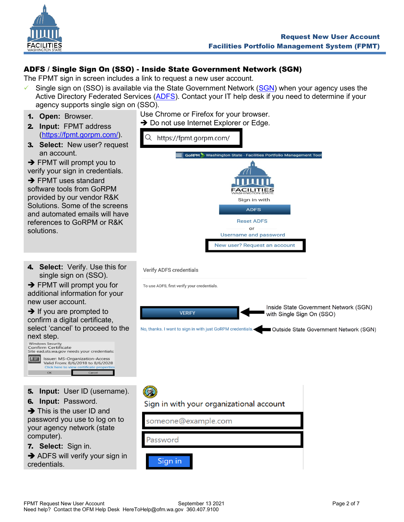

# <span id="page-1-0"></span>ADFS / Single Sign On (SSO) - Inside State Government Network (SGN)

The FPMT sign in screen includes a link to request a new user account.

- $\checkmark$  Single sign on (SSO) is available via the State Government Network [\(SGN\)](https://watech.wa.gov/glossary) when your agency uses the Active Directory Federated Services [\(ADFS\)](https://watech.wa.gov/services/Active-Directory-Federation-Services-ADFS). Contact your IT help desk if you need to determine if your agency supports single sign on (SSO).
- 1. **Open:** Browser.
- 2. **Input:** FPMT address [\(https://fpmt.gorpm.com/\)](https://fpmt.gorpm.com/).
- 3. **Select:** New user? request an account.

 $\rightarrow$  FPMT will prompt you to verify your sign in credentials.

**→ FPMT uses standard** software tools from GoRPM provided by our vendor R&K Solutions. Some of the screens and automated emails will have references to GoRPM or R&K solutions.

4. **Select:** Verify. Use this for single sign on (SSO).

 $\rightarrow$  FPMT will prompt you for additional information for your new user account.

 $\rightarrow$  If you are prompted to confirm a digital certificate, select 'cancel' to proceed to the

next step.<br>
Windows Security<br>
Confirm Certificate<br>
Site ead.sts.wa.gov nee -<br>eeds your credentials:  $\Xi$ **Issuer: MS-Organization-Access** Valid From: 8/6/2018 to 8/6/2028

- 5. **Input:** User ID (username).
- 6. **Input:** Password.

**→** This is the user ID and password you use to log on to your agency network (state computer).

7. **Select:** Sign in.

**→ ADFS will verify your sign in** credentials.

Use Chrome or Firefox for your browser. **→** Do not use Internet Explorer or Edge.



**Verify ADFS credentials** 

To use ADFS, first verify your credentials.

Inside State Government Network (SGN) **VERIFY** with Single Sign On (SSO) No, thanks. I want to sign in with just GoRPM credentials. Coultside State Government Network (SGN)

# Sign in with your organizational account

someone@example.com Password Sign in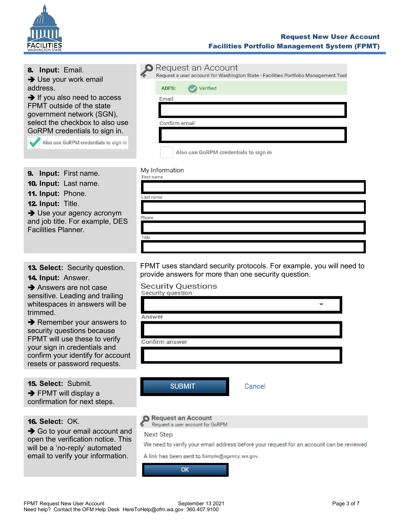

## Request New User Account Facilities Portfolio Management System (FPMT)

| 8. Input: Email.<br>$\rightarrow$ Use your work email<br>address.<br>$\rightarrow$ If you also need to access<br>FPMT outside of the state<br>government network (SGN),<br>select the checkbox to also use<br>GoRPM credentials to sign in.<br>Also use GoRPM credentials to sign in                                                                                                                    | Request an Account<br>Request a user account for Washington State - Facilities Portfolio Management Tool<br>Verified<br><b>ADFS:</b><br>Email<br>Confirm email<br>Also use GoRPM credentials to sign in                                     |
|---------------------------------------------------------------------------------------------------------------------------------------------------------------------------------------------------------------------------------------------------------------------------------------------------------------------------------------------------------------------------------------------------------|---------------------------------------------------------------------------------------------------------------------------------------------------------------------------------------------------------------------------------------------|
| <b>Input:</b> First name.<br>9.<br><b>10. Input: Last name.</b><br>11. Input: Phone.<br>12. Input: Title.<br>$\rightarrow$ Use your agency acronym<br>and job title. For example, DES<br><b>Facilities Planner.</b>                                                                                                                                                                                     | My Information<br>First name<br>Last name<br>Phone<br>Title                                                                                                                                                                                 |
| <b>13. Select:</b> Security question.<br><b>14. Input: Answer.</b><br>$\rightarrow$ Answers are not case<br>sensitive. Leading and trailing<br>whitespaces in answers will be<br>trimmed.<br>$\rightarrow$ Remember your answers to<br>security questions because<br>FPMT will use these to verify<br>your sign in credentials and<br>confirm your identify for account<br>resets or password requests. | FPMT uses standard security protocols. For example, you will need to<br>provide answers for more than one security question.<br><b>Security Questions</b><br>Security question<br>Answer<br>Confirm answer                                  |
| <b>15. Select: Submit.</b><br>$\rightarrow$ FPMT will display a<br>confirmation for next steps.                                                                                                                                                                                                                                                                                                         | <b>SUBMIT</b><br>Cancel                                                                                                                                                                                                                     |
| <b>16. Select: OK.</b><br>$\rightarrow$ Go to your email account and<br>open the verification notice. This<br>will be a 'no-reply' automated<br>email to verify your information.                                                                                                                                                                                                                       | <b>Request an Account</b><br>Request a user account for GoRPM<br><b>Next Step</b><br>We need to verify your email address before your request for an account can be reviewed.<br>A link has been sent to Sample@agency.wa.gov.<br><b>OK</b> |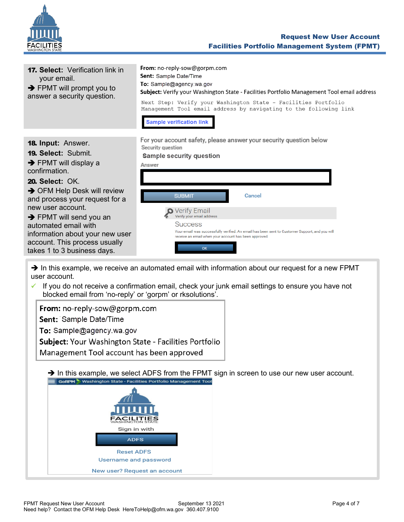

| <b>17. Select:</b> Verification link in<br>your email.<br>$\rightarrow$ FPMT will prompt you to<br>answer a security question.                                                                                                                                                                                                                                                                              | <b>From:</b> no-reply-sow@gorpm.com<br><b>Sent:</b> Sample Date/Time<br>To: Sample@agency.wa.gov<br>Subject: Verify your Washington State - Facilities Portfolio Management Tool email address<br>Next Step: Verify your Washington State - Facilities Portfolio<br>Management Tool email address by navigating to the following link<br><b>Sample verification link</b>                         |
|-------------------------------------------------------------------------------------------------------------------------------------------------------------------------------------------------------------------------------------------------------------------------------------------------------------------------------------------------------------------------------------------------------------|--------------------------------------------------------------------------------------------------------------------------------------------------------------------------------------------------------------------------------------------------------------------------------------------------------------------------------------------------------------------------------------------------|
| <b>18. Input: Answer.</b><br><b>19. Select: Submit.</b><br>$\rightarrow$ FPMT will display a<br>confirmation.<br><b>20. Select: OK.</b><br>$\rightarrow$ OFM Help Desk will review<br>and process your request for a<br>new user account.<br>$\rightarrow$ FPMT will send you an<br>automated email with<br>information about your new user<br>account. This process usually<br>takes 1 to 3 business days. | For your account safety, please answer your security question below<br>Security question<br><b>Sample security question</b><br>Answer<br><b>SUBMIT</b><br>Cancel<br>Verify Email<br>Verify your email address<br><b>Success</b><br>Your email was successfully verified. An email has been sent to Customer Support, and you will<br>receive an email when your account has been approved.<br>OK |

→ In this example, we receive an automated email with information about our request for a new FPMT user account.

✓ If you do not receive a confirmation email, check your junk email settings to ensure you have not blocked email from 'no-reply' or 'gorpm' or rksolutions'.

From: no-reply-sow@gorpm.com Sent: Sample Date/Time To: Sample@agency.wa.gov Subject: Your Washington State - Facilities Portfolio Management Tool account has been approved

→ In this example, we select ADFS from the FPMT sign in screen to use our new user account.<br>
≡ GoRPM > Washington state - Facilities Portfolio Management Tool

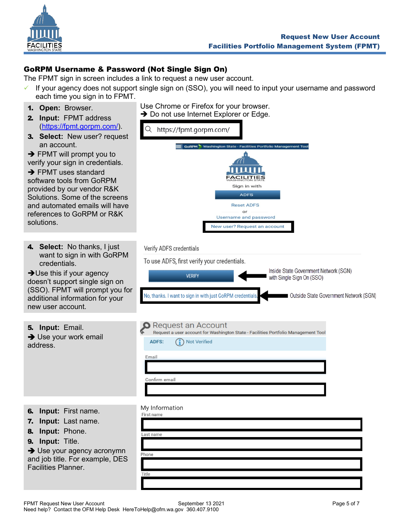

# <span id="page-4-0"></span>GoRPM Username & Password (Not Single Sign On)

The FPMT sign in screen includes a link to request a new user account.

- $\checkmark$  If your agency does not support single sign on (SSO), you will need to input your username and password each time you sign in to FPMT.
- 1. **Open:** Browser.
- 2. **Input:** FPMT address [\(https://fpmt.gorpm.com/\)](https://fpmt.gorpm.com/).
- 3. **Select:** New user? request an account.

 $\rightarrow$  FPMT will prompt you to verify your sign in credentials.

**→ FPMT uses standard** software tools from GoRPM provided by our vendor R&K Solutions. Some of the screens and automated emails will have references to GoRPM or R&K solutions.

4. **Select:** No thanks, I just credentials.

doesn't support single sign on (SSO). FPMT will prompt you for additional information for your new user account.

- Use Chrome or Firefox for your browser. **→** Do not use Internet Explorer or Edge.
- Q https://fpmt.gorpm.com/ gton State - Facilities Portfolio Manage **ACILITIES** Sign in with **ADFS Reset ADFS** or **Username and password** New user? Request an account

#### Verify ADFS credentials

want to sign in with GoRPM To use ADFS, first verify your credentials. Inside State Government Network (SGN) **→ Use this if your agency VERIFY** with Single Sign On (SSO) No, thanks. I want to sign in with just GoRPM credentials Outside State Government Network (SGN) **O** Request an Account 5. **Input:** Email. Request a user account for Washington State - Facilities Portfolio Management Tool **→ Use your work email ADFS:** (1) Not Verified address. Email Confirm email My Information

- 6. **Input:** First name.
- 7. **Input:** Last name.
- 8. **Input:** Phone.
- 9. **Input:** Title.

**→** Use your agency acronymn and job title. For example, DES Facilities Planner.

| First name |  |  |  |
|------------|--|--|--|
|            |  |  |  |
| Last name  |  |  |  |
|            |  |  |  |
| Phone      |  |  |  |
|            |  |  |  |
| Title      |  |  |  |
|            |  |  |  |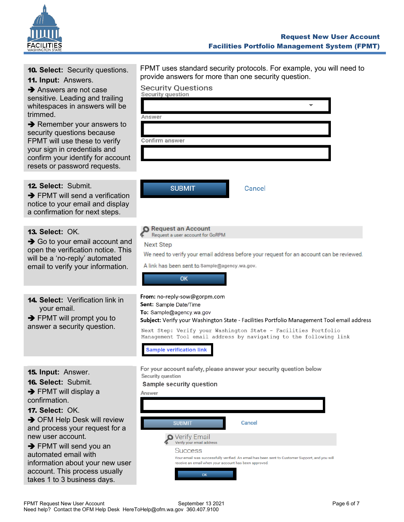

## Request New User Account Facilities Portfolio Management System (FPMT)

|  |  |  | <b>10. Select:</b> Security questions. |
|--|--|--|----------------------------------------|
|--|--|--|----------------------------------------|

11. **Input:** Answers.

**→** Answers are not case sensitive. Leading and trailing whitespaces in answers will be trimmed.

**→** Remember your answers to security questions because FPMT will use these to verify your sign in credentials and confirm your identify for account resets or password requests.

## 12. **Select:** Submit.

**→ FPMT will send a verification** notice to your email and display a confirmation for next steps.

### 13. **Select:** OK.

 $\rightarrow$  Go to your email account and open the verification notice. This will be a 'no-reply' automated email to verify your information.

14. **Select:** Verification link in your email.

 $\rightarrow$  FPMT will prompt you to answer a security question.

| FPMT uses standard security protocols. For example, you will need to |  |
|----------------------------------------------------------------------|--|
| provide answers for more than one security question.                 |  |

# **Security Questions**

|   | Security question                                                                                                      |  |  |  |  |
|---|------------------------------------------------------------------------------------------------------------------------|--|--|--|--|
|   |                                                                                                                        |  |  |  |  |
|   | Answer                                                                                                                 |  |  |  |  |
|   |                                                                                                                        |  |  |  |  |
|   | Confirm answer                                                                                                         |  |  |  |  |
|   |                                                                                                                        |  |  |  |  |
| t |                                                                                                                        |  |  |  |  |
|   |                                                                                                                        |  |  |  |  |
|   | <b>SUBMIT</b><br>Cancel                                                                                                |  |  |  |  |
|   |                                                                                                                        |  |  |  |  |
|   |                                                                                                                        |  |  |  |  |
|   |                                                                                                                        |  |  |  |  |
|   | <b>Request an Account</b><br>Request a user account for GoRPM                                                          |  |  |  |  |
| d | <b>Next Step</b>                                                                                                       |  |  |  |  |
| S | We need to verify your email address before your request for an account can be reviewed.                               |  |  |  |  |
|   | A link has been sent to Sample@agency.wa.gov.                                                                          |  |  |  |  |
|   | OK                                                                                                                     |  |  |  |  |
|   |                                                                                                                        |  |  |  |  |
|   | From: no-reply-sow@gorpm.com                                                                                           |  |  |  |  |
|   | Sent: Sample Date/Time                                                                                                 |  |  |  |  |
|   | To: Sample@agency.wa.gov<br>Subject: Verify your Washington State - Facilities Portfolio Management Tool email address |  |  |  |  |

**Sample verification link** 

Sample security question

Security question

- 15. **Input:** Answer.
- 16. **Select:** Submit.
- **→ FPMT will display a** confirmation.
- 17. **Select:** OK.

**→ OFM Help Desk will review** and process your request for a new user account.

**→ FPMT will send you an** automated email with information about your new user account. This process usually takes 1 to 3 business days.

| Answer |                                                                         |                                                                                              |  |
|--------|-------------------------------------------------------------------------|----------------------------------------------------------------------------------------------|--|
|        | <b>SUBMIT</b>                                                           | Cancel                                                                                       |  |
|        | Verify Email<br>Verify your email address                               |                                                                                              |  |
|        | <b>Success</b><br>receive an email when your account has been approved. | Your email was successfully verified. An email has been sent to Customer Support, and you wi |  |
|        | OK                                                                      |                                                                                              |  |

For your account safety, please answer your security question below

Next Step: Verify your Washington State - Facilities Portfolio Management Tool email address by navigating to the following link